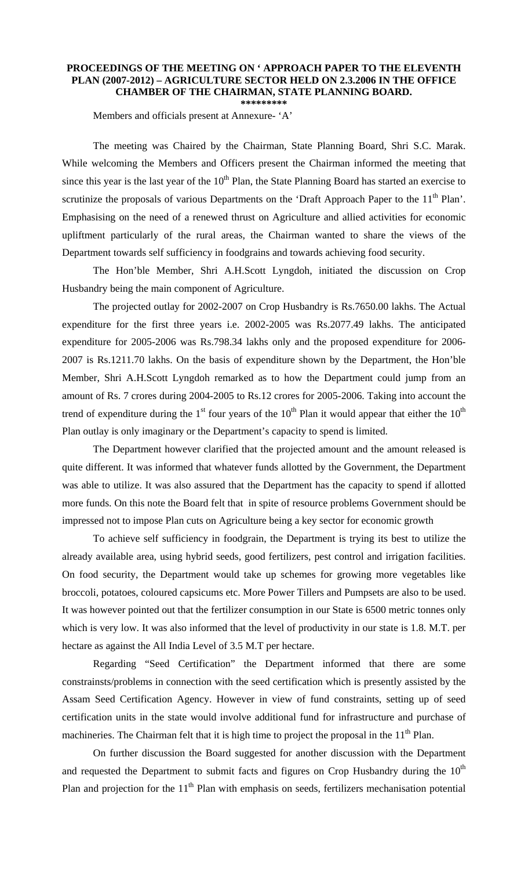## **PROCEEDINGS OF THE MEETING ON ' APPROACH PAPER TO THE ELEVENTH PLAN (2007-2012) – AGRICULTURE SECTOR HELD ON 2.3.2006 IN THE OFFICE CHAMBER OF THE CHAIRMAN, STATE PLANNING BOARD.**

**\*\*\*\*\*\*\*\*\*** 

Members and officials present at Annexure- 'A'

 The meeting was Chaired by the Chairman, State Planning Board, Shri S.C. Marak. While welcoming the Members and Officers present the Chairman informed the meeting that since this year is the last year of the  $10<sup>th</sup>$  Plan, the State Planning Board has started an exercise to scrutinize the proposals of various Departments on the 'Draft Approach Paper to the  $11<sup>th</sup>$  Plan'. Emphasising on the need of a renewed thrust on Agriculture and allied activities for economic upliftment particularly of the rural areas, the Chairman wanted to share the views of the Department towards self sufficiency in foodgrains and towards achieving food security.

 The Hon'ble Member, Shri A.H.Scott Lyngdoh, initiated the discussion on Crop Husbandry being the main component of Agriculture.

 The projected outlay for 2002-2007 on Crop Husbandry is Rs.7650.00 lakhs. The Actual expenditure for the first three years i.e. 2002-2005 was Rs.2077.49 lakhs. The anticipated expenditure for 2005-2006 was Rs.798.34 lakhs only and the proposed expenditure for 2006- 2007 is Rs.1211.70 lakhs. On the basis of expenditure shown by the Department, the Hon'ble Member, Shri A.H.Scott Lyngdoh remarked as to how the Department could jump from an amount of Rs. 7 crores during 2004-2005 to Rs.12 crores for 2005-2006. Taking into account the trend of expenditure during the  $1<sup>st</sup>$  four years of the  $10<sup>th</sup>$  Plan it would appear that either the  $10<sup>th</sup>$ Plan outlay is only imaginary or the Department's capacity to spend is limited.

 The Department however clarified that the projected amount and the amount released is quite different. It was informed that whatever funds allotted by the Government, the Department was able to utilize. It was also assured that the Department has the capacity to spend if allotted more funds. On this note the Board felt that in spite of resource problems Government should be impressed not to impose Plan cuts on Agriculture being a key sector for economic growth

 To achieve self sufficiency in foodgrain, the Department is trying its best to utilize the already available area, using hybrid seeds, good fertilizers, pest control and irrigation facilities. On food security, the Department would take up schemes for growing more vegetables like broccoli, potatoes, coloured capsicums etc. More Power Tillers and Pumpsets are also to be used. It was however pointed out that the fertilizer consumption in our State is 6500 metric tonnes only which is very low. It was also informed that the level of productivity in our state is 1.8. M.T. per hectare as against the All India Level of 3.5 M.T per hectare.

 Regarding "Seed Certification" the Department informed that there are some constrainsts/problems in connection with the seed certification which is presently assisted by the Assam Seed Certification Agency. However in view of fund constraints, setting up of seed certification units in the state would involve additional fund for infrastructure and purchase of machineries. The Chairman felt that it is high time to project the proposal in the  $11<sup>th</sup>$  Plan.

 On further discussion the Board suggested for another discussion with the Department and requested the Department to submit facts and figures on Crop Husbandry during the  $10<sup>th</sup>$ Plan and projection for the  $11<sup>th</sup>$  Plan with emphasis on seeds, fertilizers mechanisation potential